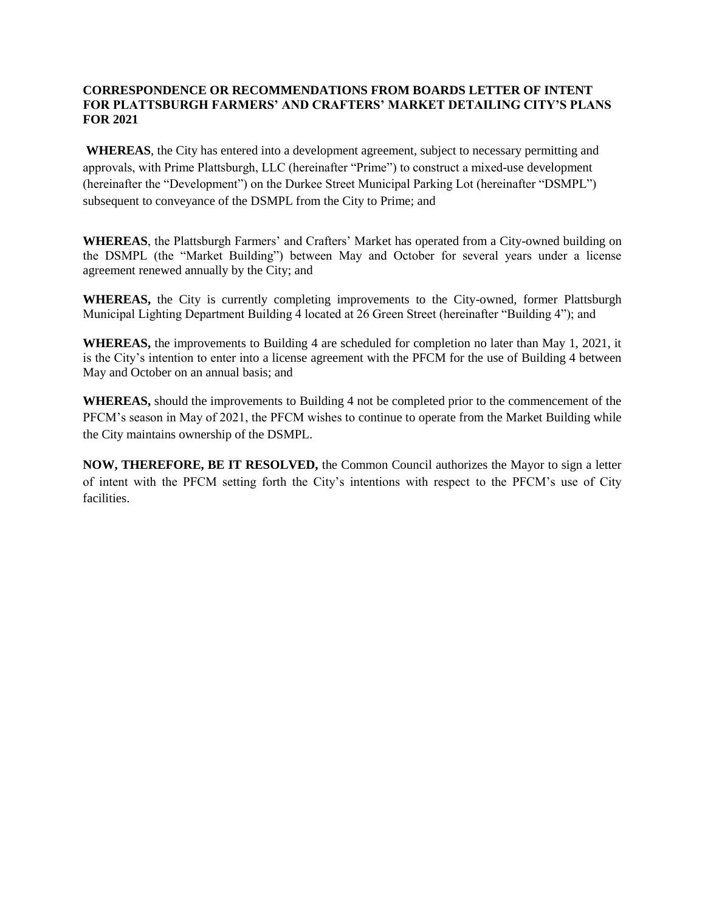#### **CORRESPONDENCE OR RECOMMENDATIONS FROM BOARDS LETTER OF INTENT FOR PLATTSBURGH FARMERS' AND CRAFTERS' MARKET DETAILING CITY'S PLANS FOR 2021**

**WHEREAS**, the City has entered into a development agreement, subject to necessary permitting and approvals, with Prime Plattsburgh, LLC (hereinafter "Prime") to construct a mixed-use development (hereinafter the "Development") on the Durkee Street Municipal Parking Lot (hereinafter "DSMPL") subsequent to conveyance of the DSMPL from the City to Prime; and

**WHEREAS**, the Plattsburgh Farmers' and Crafters' Market has operated from a City-owned building on the DSMPL (the "Market Building") between May and October for several years under a license agreement renewed annually by the City; and

**WHEREAS,** the City is currently completing improvements to the City-owned, former Plattsburgh Municipal Lighting Department Building 4 located at 26 Green Street (hereinafter "Building 4"); and

**WHEREAS,** the improvements to Building 4 are scheduled for completion no later than May 1, 2021, it is the City's intention to enter into a license agreement with the PFCM for the use of Building 4 between May and October on an annual basis; and

**WHEREAS,** should the improvements to Building 4 not be completed prior to the commencement of the PFCM's season in May of 2021, the PFCM wishes to continue to operate from the Market Building while the City maintains ownership of the DSMPL.

**NOW, THEREFORE, BE IT RESOLVED,** the Common Council authorizes the Mayor to sign a letter of intent with the PFCM setting forth the City's intentions with respect to the PFCM's use of City facilities.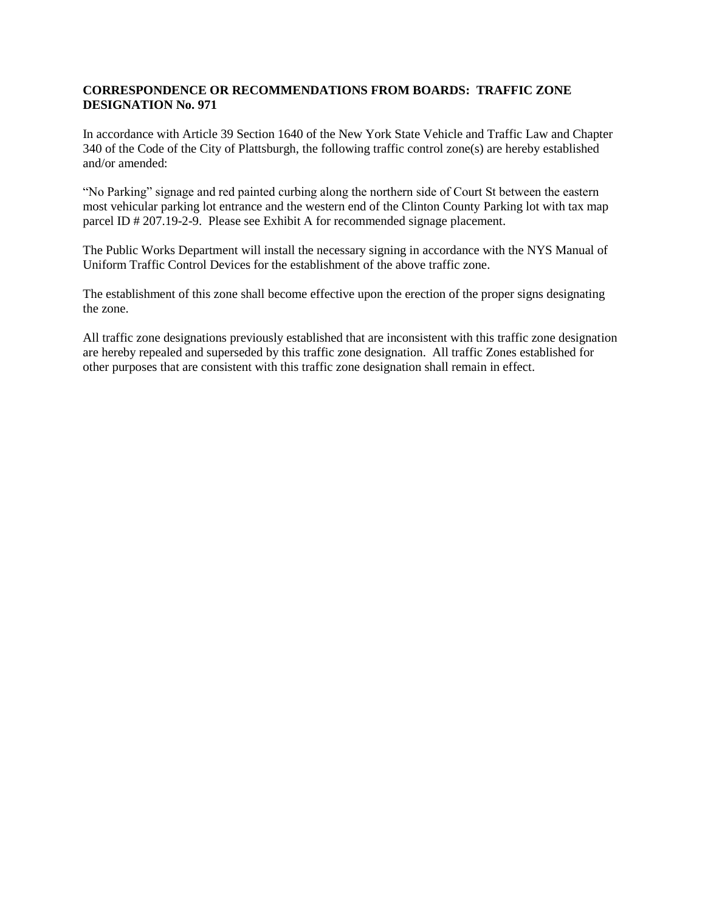#### **CORRESPONDENCE OR RECOMMENDATIONS FROM BOARDS: TRAFFIC ZONE DESIGNATION No. 971**

In accordance with Article 39 Section 1640 of the New York State Vehicle and Traffic Law and Chapter 340 of the Code of the City of Plattsburgh, the following traffic control zone(s) are hereby established and/or amended:

"No Parking" signage and red painted curbing along the northern side of Court St between the eastern most vehicular parking lot entrance and the western end of the Clinton County Parking lot with tax map parcel ID # 207.19-2-9. Please see Exhibit A for recommended signage placement.

The Public Works Department will install the necessary signing in accordance with the NYS Manual of Uniform Traffic Control Devices for the establishment of the above traffic zone.

The establishment of this zone shall become effective upon the erection of the proper signs designating the zone.

All traffic zone designations previously established that are inconsistent with this traffic zone designation are hereby repealed and superseded by this traffic zone designation. All traffic Zones established for other purposes that are consistent with this traffic zone designation shall remain in effect.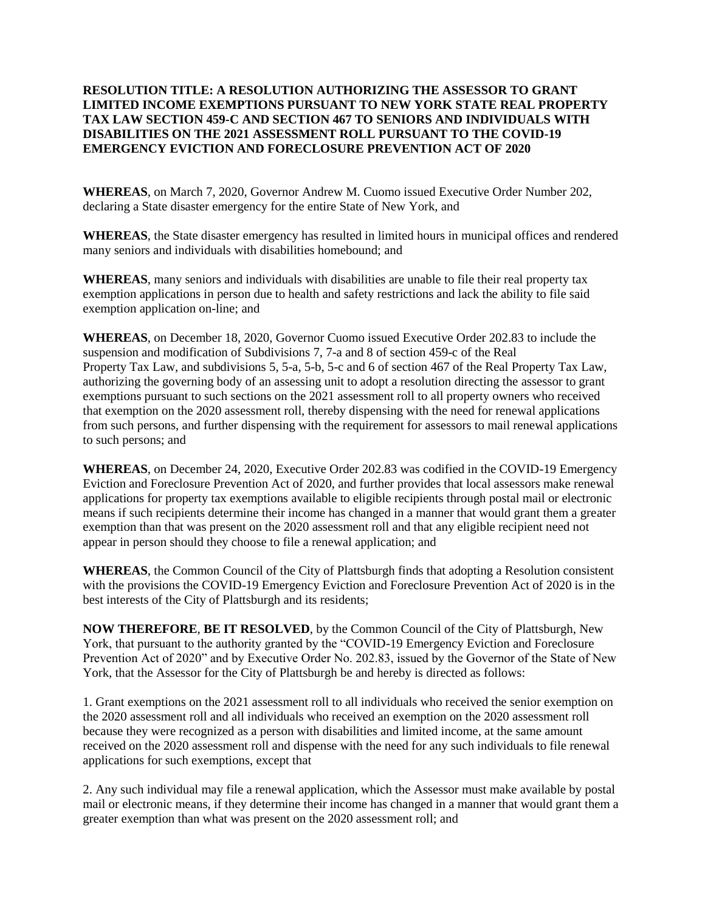### **RESOLUTION TITLE: A RESOLUTION AUTHORIZING THE ASSESSOR TO GRANT LIMITED INCOME EXEMPTIONS PURSUANT TO NEW YORK STATE REAL PROPERTY TAX LAW SECTION 459-C AND SECTION 467 TO SENIORS AND INDIVIDUALS WITH DISABILITIES ON THE 2021 ASSESSMENT ROLL PURSUANT TO THE COVID-19 EMERGENCY EVICTION AND FORECLOSURE PREVENTION ACT OF 2020**

**WHEREAS**, on March 7, 2020, Governor Andrew M. Cuomo issued Executive Order Number 202, declaring a State disaster emergency for the entire State of New York, and

**WHEREAS**, the State disaster emergency has resulted in limited hours in municipal offices and rendered many seniors and individuals with disabilities homebound; and

**WHEREAS**, many seniors and individuals with disabilities are unable to file their real property tax exemption applications in person due to health and safety restrictions and lack the ability to file said exemption application on-line; and

**WHEREAS**, on December 18, 2020, Governor Cuomo issued Executive Order 202.83 to include the suspension and modification of Subdivisions 7, 7-a and 8 of section 459-c of the Real Property Tax Law, and subdivisions 5, 5-a, 5-b, 5-c and 6 of section 467 of the Real Property Tax Law, authorizing the governing body of an assessing unit to adopt a resolution directing the assessor to grant exemptions pursuant to such sections on the 2021 assessment roll to all property owners who received that exemption on the 2020 assessment roll, thereby dispensing with the need for renewal applications from such persons, and further dispensing with the requirement for assessors to mail renewal applications to such persons; and

**WHEREAS**, on December 24, 2020, Executive Order 202.83 was codified in the COVID-19 Emergency Eviction and Foreclosure Prevention Act of 2020, and further provides that local assessors make renewal applications for property tax exemptions available to eligible recipients through postal mail or electronic means if such recipients determine their income has changed in a manner that would grant them a greater exemption than that was present on the 2020 assessment roll and that any eligible recipient need not appear in person should they choose to file a renewal application; and

**WHEREAS**, the Common Council of the City of Plattsburgh finds that adopting a Resolution consistent with the provisions the COVID-19 Emergency Eviction and Foreclosure Prevention Act of 2020 is in the best interests of the City of Plattsburgh and its residents;

**NOW THEREFORE**, **BE IT RESOLVED**, by the Common Council of the City of Plattsburgh, New York, that pursuant to the authority granted by the "COVID-19 Emergency Eviction and Foreclosure Prevention Act of 2020" and by Executive Order No. 202.83, issued by the Governor of the State of New York, that the Assessor for the City of Plattsburgh be and hereby is directed as follows:

1. Grant exemptions on the 2021 assessment roll to all individuals who received the senior exemption on the 2020 assessment roll and all individuals who received an exemption on the 2020 assessment roll because they were recognized as a person with disabilities and limited income, at the same amount received on the 2020 assessment roll and dispense with the need for any such individuals to file renewal applications for such exemptions, except that

2. Any such individual may file a renewal application, which the Assessor must make available by postal mail or electronic means, if they determine their income has changed in a manner that would grant them a greater exemption than what was present on the 2020 assessment roll; and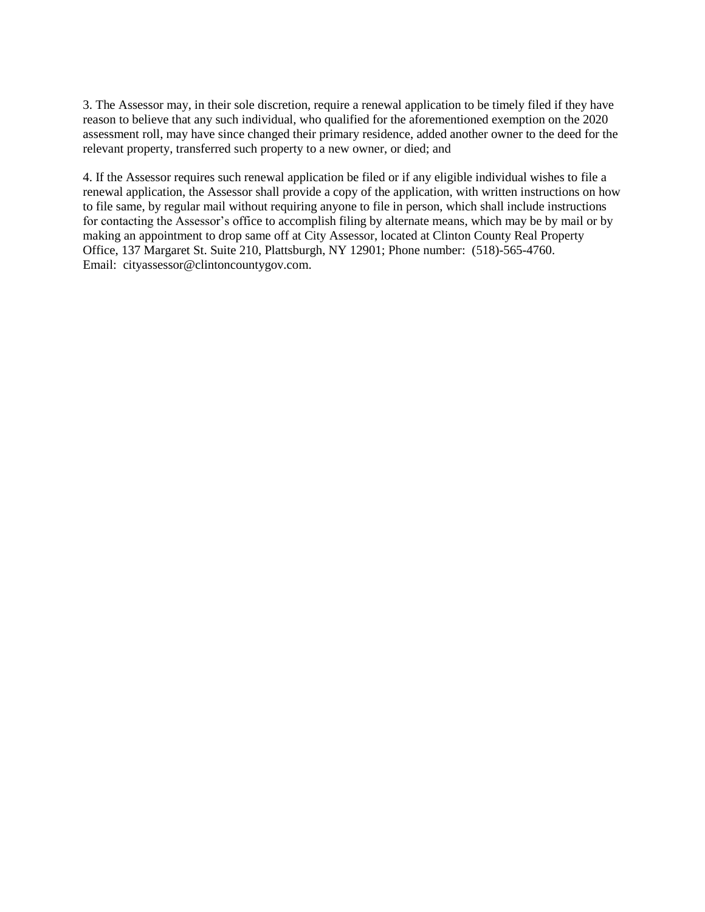3. The Assessor may, in their sole discretion, require a renewal application to be timely filed if they have reason to believe that any such individual, who qualified for the aforementioned exemption on the 2020 assessment roll, may have since changed their primary residence, added another owner to the deed for the relevant property, transferred such property to a new owner, or died; and

4. If the Assessor requires such renewal application be filed or if any eligible individual wishes to file a renewal application, the Assessor shall provide a copy of the application, with written instructions on how to file same, by regular mail without requiring anyone to file in person, which shall include instructions for contacting the Assessor's office to accomplish filing by alternate means, which may be by mail or by making an appointment to drop same off at City Assessor, located at Clinton County Real Property Office, 137 Margaret St. Suite 210, Plattsburgh, NY 12901; Phone number: (518)-565-4760. Email: cityassessor@clintoncountygov.com.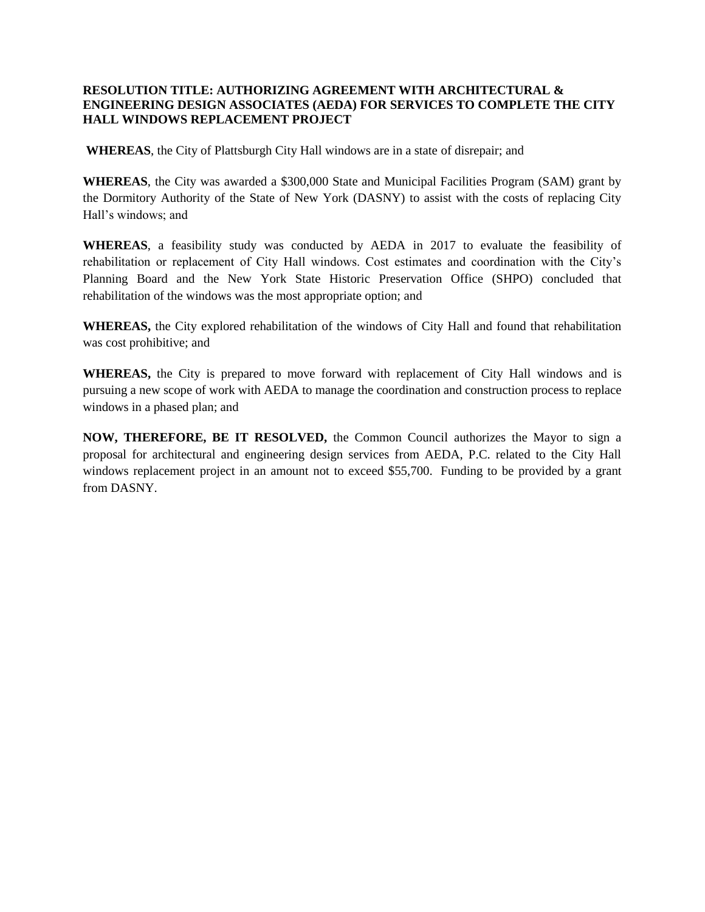#### **RESOLUTION TITLE: AUTHORIZING AGREEMENT WITH ARCHITECTURAL & ENGINEERING DESIGN ASSOCIATES (AEDA) FOR SERVICES TO COMPLETE THE CITY HALL WINDOWS REPLACEMENT PROJECT**

**WHEREAS**, the City of Plattsburgh City Hall windows are in a state of disrepair; and

**WHEREAS**, the City was awarded a \$300,000 State and Municipal Facilities Program (SAM) grant by the Dormitory Authority of the State of New York (DASNY) to assist with the costs of replacing City Hall's windows; and

**WHEREAS**, a feasibility study was conducted by AEDA in 2017 to evaluate the feasibility of rehabilitation or replacement of City Hall windows. Cost estimates and coordination with the City's Planning Board and the New York State Historic Preservation Office (SHPO) concluded that rehabilitation of the windows was the most appropriate option; and

**WHEREAS,** the City explored rehabilitation of the windows of City Hall and found that rehabilitation was cost prohibitive; and

**WHEREAS,** the City is prepared to move forward with replacement of City Hall windows and is pursuing a new scope of work with AEDA to manage the coordination and construction process to replace windows in a phased plan; and

**NOW, THEREFORE, BE IT RESOLVED,** the Common Council authorizes the Mayor to sign a proposal for architectural and engineering design services from AEDA, P.C. related to the City Hall windows replacement project in an amount not to exceed \$55,700. Funding to be provided by a grant from DASNY.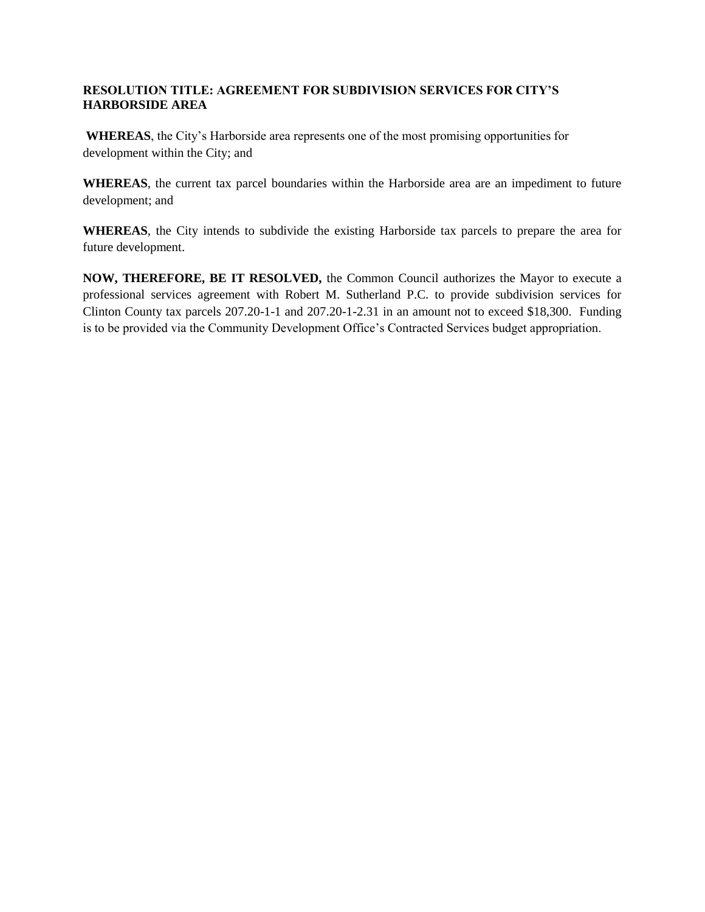### **RESOLUTION TITLE: AGREEMENT FOR SUBDIVISION SERVICES FOR CITY'S HARBORSIDE AREA**

**WHEREAS**, the City's Harborside area represents one of the most promising opportunities for development within the City; and

**WHEREAS**, the current tax parcel boundaries within the Harborside area are an impediment to future development; and

**WHEREAS**, the City intends to subdivide the existing Harborside tax parcels to prepare the area for future development.

**NOW, THEREFORE, BE IT RESOLVED,** the Common Council authorizes the Mayor to execute a professional services agreement with Robert M. Sutherland P.C. to provide subdivision services for Clinton County tax parcels 207.20-1-1 and 207.20-1-2.31 in an amount not to exceed \$18,300. Funding is to be provided via the Community Development Office's Contracted Services budget appropriation.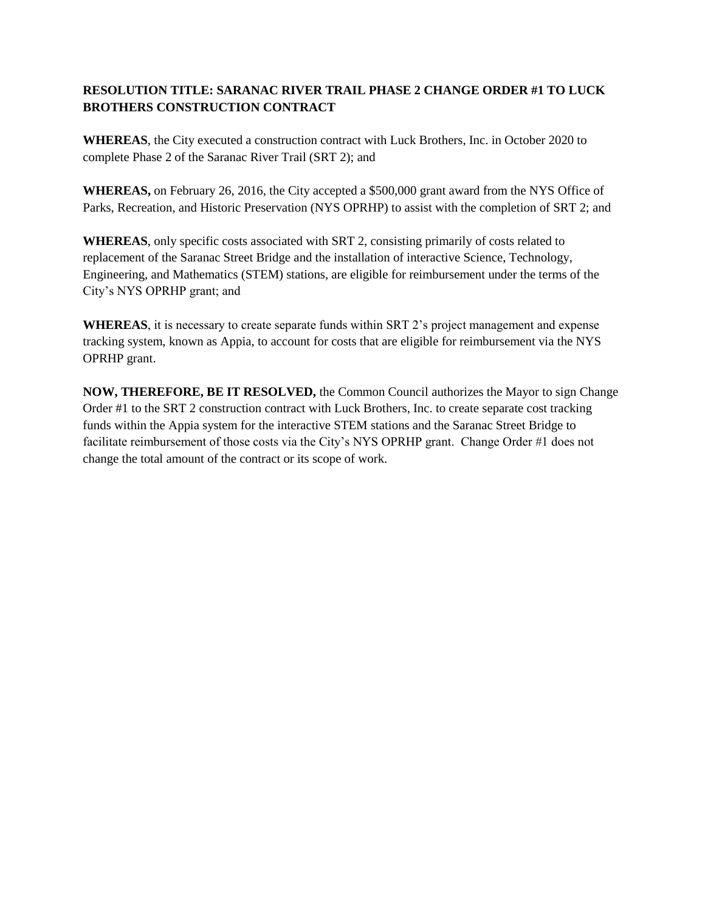### **RESOLUTION TITLE: SARANAC RIVER TRAIL PHASE 2 CHANGE ORDER #1 TO LUCK BROTHERS CONSTRUCTION CONTRACT**

**WHEREAS**, the City executed a construction contract with Luck Brothers, Inc. in October 2020 to complete Phase 2 of the Saranac River Trail (SRT 2); and

**WHEREAS,** on February 26, 2016, the City accepted a \$500,000 grant award from the NYS Office of Parks, Recreation, and Historic Preservation (NYS OPRHP) to assist with the completion of SRT 2; and

**WHEREAS**, only specific costs associated with SRT 2, consisting primarily of costs related to replacement of the Saranac Street Bridge and the installation of interactive Science, Technology, Engineering, and Mathematics (STEM) stations, are eligible for reimbursement under the terms of the City's NYS OPRHP grant; and

**WHEREAS**, it is necessary to create separate funds within SRT 2's project management and expense tracking system, known as Appia, to account for costs that are eligible for reimbursement via the NYS OPRHP grant.

**NOW, THEREFORE, BE IT RESOLVED,** the Common Council authorizes the Mayor to sign Change Order #1 to the SRT 2 construction contract with Luck Brothers, Inc. to create separate cost tracking funds within the Appia system for the interactive STEM stations and the Saranac Street Bridge to facilitate reimbursement of those costs via the City's NYS OPRHP grant. Change Order #1 does not change the total amount of the contract or its scope of work.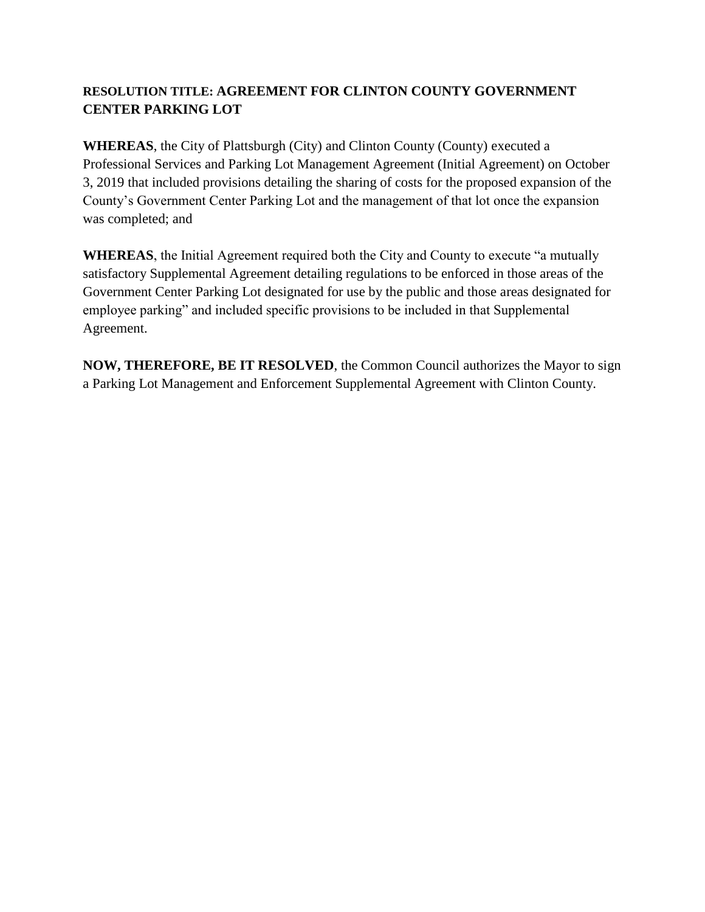# **RESOLUTION TITLE: AGREEMENT FOR CLINTON COUNTY GOVERNMENT CENTER PARKING LOT**

**WHEREAS**, the City of Plattsburgh (City) and Clinton County (County) executed a Professional Services and Parking Lot Management Agreement (Initial Agreement) on October 3, 2019 that included provisions detailing the sharing of costs for the proposed expansion of the County's Government Center Parking Lot and the management of that lot once the expansion was completed; and

**WHEREAS**, the Initial Agreement required both the City and County to execute "a mutually satisfactory Supplemental Agreement detailing regulations to be enforced in those areas of the Government Center Parking Lot designated for use by the public and those areas designated for employee parking" and included specific provisions to be included in that Supplemental Agreement.

**NOW, THEREFORE, BE IT RESOLVED**, the Common Council authorizes the Mayor to sign a Parking Lot Management and Enforcement Supplemental Agreement with Clinton County.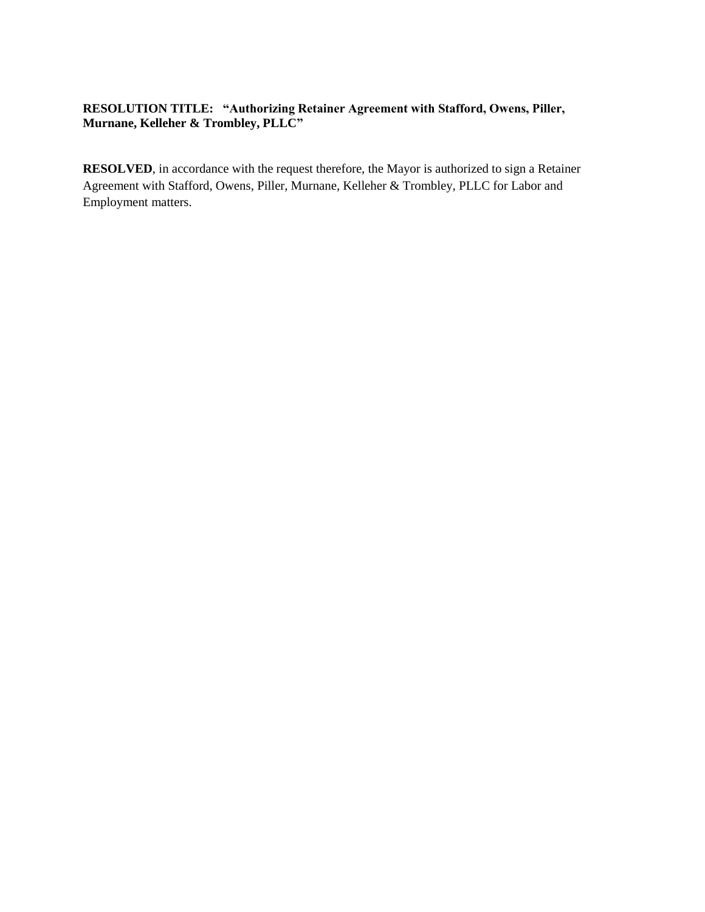### **RESOLUTION TITLE: "Authorizing Retainer Agreement with Stafford, Owens, Piller, Murnane, Kelleher & Trombley, PLLC"**

**RESOLVED**, in accordance with the request therefore, the Mayor is authorized to sign a Retainer Agreement with Stafford, Owens, Piller, Murnane, Kelleher & Trombley, PLLC for Labor and Employment matters.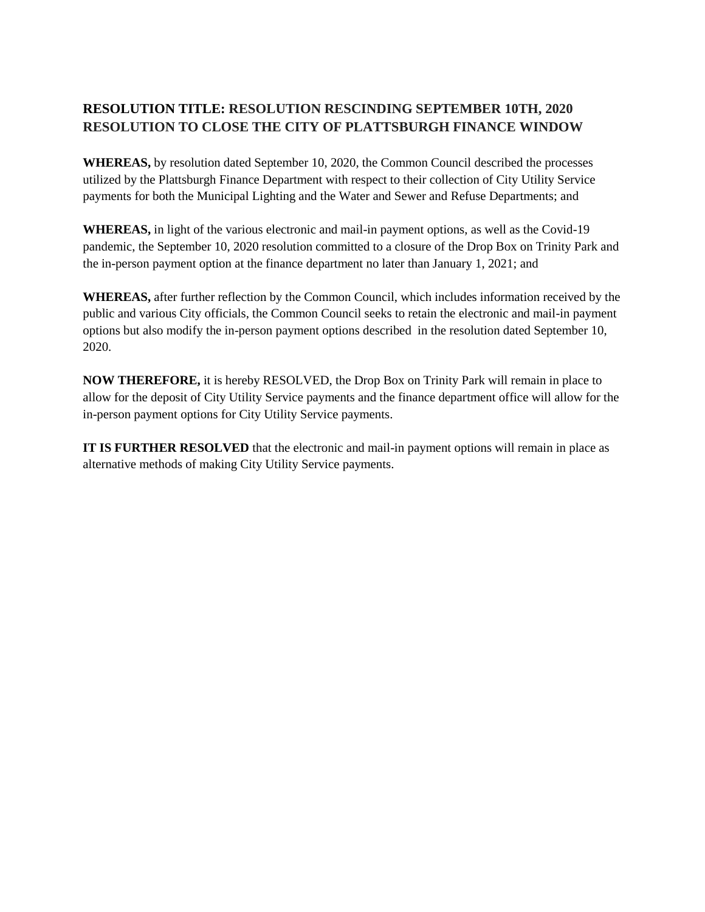# **RESOLUTION TITLE: RESOLUTION RESCINDING SEPTEMBER 10TH, 2020 RESOLUTION TO CLOSE THE CITY OF PLATTSBURGH FINANCE WINDOW**

**WHEREAS,** by resolution dated September 10, 2020, the Common Council described the processes utilized by the Plattsburgh Finance Department with respect to their collection of City Utility Service payments for both the Municipal Lighting and the Water and Sewer and Refuse Departments; and

**WHEREAS,** in light of the various electronic and mail-in payment options, as well as the Covid-19 pandemic, the September 10, 2020 resolution committed to a closure of the Drop Box on Trinity Park and the in-person payment option at the finance department no later than January 1, 2021; and

**WHEREAS,** after further reflection by the Common Council, which includes information received by the public and various City officials, the Common Council seeks to retain the electronic and mail-in payment options but also modify the in-person payment options described in the resolution dated September 10, 2020.

**NOW THEREFORE,** it is hereby RESOLVED, the Drop Box on Trinity Park will remain in place to allow for the deposit of City Utility Service payments and the finance department office will allow for the in-person payment options for City Utility Service payments.

**IT IS FURTHER RESOLVED** that the electronic and mail-in payment options will remain in place as alternative methods of making City Utility Service payments.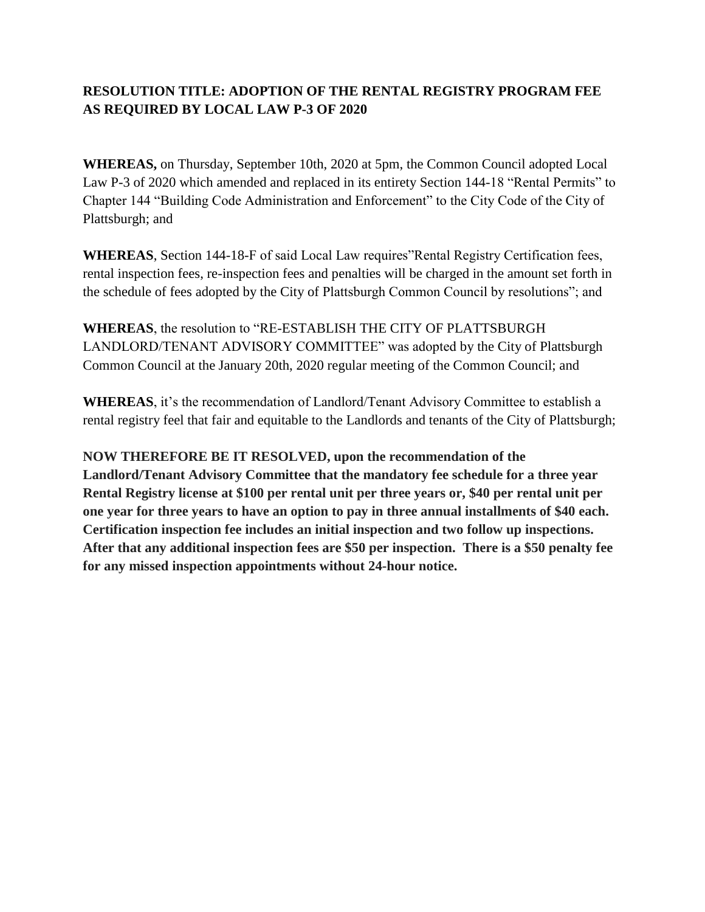# **RESOLUTION TITLE: ADOPTION OF THE RENTAL REGISTRY PROGRAM FEE AS REQUIRED BY LOCAL LAW P-3 OF 2020**

**WHEREAS,** on Thursday, September 10th, 2020 at 5pm, the Common Council adopted Local Law P-3 of 2020 which amended and replaced in its entirety Section 144-18 "Rental Permits" to Chapter 144 "Building Code Administration and Enforcement" to the City Code of the City of Plattsburgh; and

**WHEREAS**, Section 144-18-F of said Local Law requires"Rental Registry Certification fees, rental inspection fees, re-inspection fees and penalties will be charged in the amount set forth in the schedule of fees adopted by the City of Plattsburgh Common Council by resolutions"; and

**WHEREAS**, the resolution to "RE-ESTABLISH THE CITY OF PLATTSBURGH LANDLORD/TENANT ADVISORY COMMITTEE" was adopted by the City of Plattsburgh Common Council at the January 20th, 2020 regular meeting of the Common Council; and

**WHEREAS**, it's the recommendation of Landlord/Tenant Advisory Committee to establish a rental registry feel that fair and equitable to the Landlords and tenants of the City of Plattsburgh;

**NOW THEREFORE BE IT RESOLVED, upon the recommendation of the Landlord/Tenant Advisory Committee that the mandatory fee schedule for a three year Rental Registry license at \$100 per rental unit per three years or, \$40 per rental unit per one year for three years to have an option to pay in three annual installments of \$40 each. Certification inspection fee includes an initial inspection and two follow up inspections. After that any additional inspection fees are \$50 per inspection. There is a \$50 penalty fee for any missed inspection appointments without 24-hour notice.**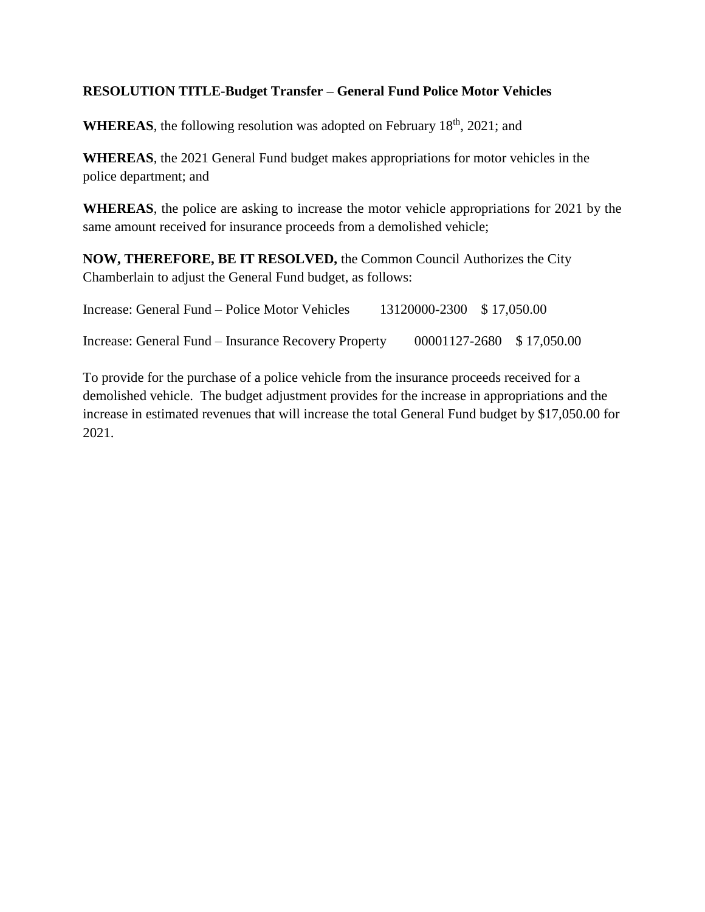## **RESOLUTION TITLE-Budget Transfer – General Fund Police Motor Vehicles**

**WHEREAS**, the following resolution was adopted on February  $18<sup>th</sup>$ ,  $2021$ ; and

**WHEREAS**, the 2021 General Fund budget makes appropriations for motor vehicles in the police department; and

**WHEREAS**, the police are asking to increase the motor vehicle appropriations for 2021 by the same amount received for insurance proceeds from a demolished vehicle;

**NOW, THEREFORE, BE IT RESOLVED,** the Common Council Authorizes the City Chamberlain to adjust the General Fund budget, as follows:

| Increase: General Fund – Police Motor Vehicles       | 13120000-2300 \$17,050.00 |                           |  |
|------------------------------------------------------|---------------------------|---------------------------|--|
| Increase: General Fund – Insurance Recovery Property |                           | 00001127-2680 \$17,050.00 |  |

To provide for the purchase of a police vehicle from the insurance proceeds received for a demolished vehicle. The budget adjustment provides for the increase in appropriations and the increase in estimated revenues that will increase the total General Fund budget by \$17,050.00 for 2021.